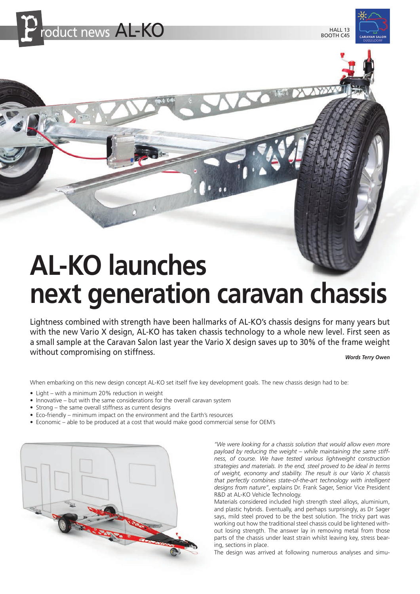

BOOTH C45



# **AL-KO launches next generation caravan chassis**

Lightness combined with strength have been hallmarks of AL-KO's chassis designs for many years but with the new Vario X design, AL-KO has taken chassis technology to a whole new level. First seen as a small sample at the Caravan Salon last year the Vario X design saves up to 30% of the frame weight without compromising on stiffness.

*Words Terry Owen*

When embarking on this new design concept AL-KO set itself five key development goals. The new chassis design had to be:

- Light with a minimum 20% reduction in weight
- Innovative but with the same considerations for the overall caravan system
- Strong the same overall stiffness as current designs
- Eco-friendly minimum impact on the environment and the Earth's resources
- Economic able to be produced at a cost that would make good commercial sense for OEM's



*"We were looking for a chassis solution that would allow even more payload by reducing the weight – while maintaining the same stiffness, of course. We have tested various lightweight construction strategies and materials. In the end, steel proved to be ideal in terms of weight, economy and stability. The result is our Vario X chassis that perfectly combines state-of-the-art technology with intelligent designs from nature"*, explains Dr. Frank Sager, Senior Vice President R&D at AL-KO Vehicle Technology.

Materials considered included high strength steel alloys, aluminium, and plastic hybrids. Eventually, and perhaps surprisingly, as Dr Sager says, mild steel proved to be the best solution. The tricky part was working out how the traditional steel chassis could be lightened without losing strength. The answer lay in removing metal from those parts of the chassis under least strain whilst leaving key, stress bearing, sections in place.

The design was arrived at following numerous analyses and simu-